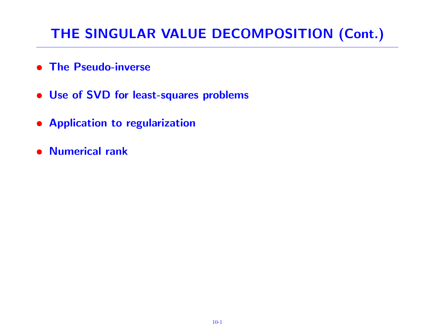# THE SINGULAR VALUE DECOMPOSITION (Cont.)

- The Pseudo-inverse
- Use of SVD for least-squares problems
- Application to regularization
- Numerical rank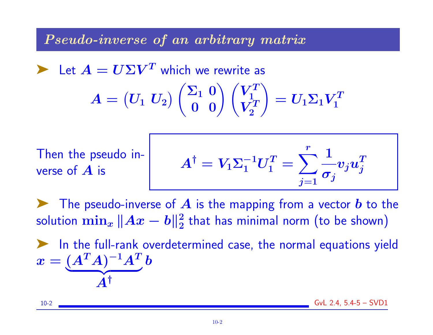Pseudo-inverse of an arbitrary matrix

Let  $A = U\Sigma V^T$  which we rewrite as  $\boldsymbol{A} = \begin{pmatrix} \boldsymbol{U}_1 \ \boldsymbol{U}_2 \end{pmatrix}$  $\begin{pmatrix} \Sigma_1 & 0 \ 0 & 0 \end{pmatrix} \begin{pmatrix} V_1^T \ V_2^T \end{pmatrix}$ 1  $V^T_2$ 2  $\setminus$  $=U_1\Sigma_1 V_1^T$ 1

Then the pseudo inverse of  $\boldsymbol{A}$  is

$$
A^\dagger = V_1 \Sigma_1^{-1} U_1^T = \sum_{j=1}^r \frac{1}{\sigma_j} v_j u_j^T
$$

The pseudo-inverse of  $\bm{A}$  is the mapping from a vector  $\bm{b}$  to the solution  $\min_x \|Ax - b\|_2^2$  $\frac{2}{2}$  that has minimal norm (to be shown)

➤ In the full-rank overdetermined case, the normal equations yield  $x=(A^TA)^{-1}A^T$  $A^{\dagger}$ b

10-2 GvL 2.4, 5.4-5 – SVD1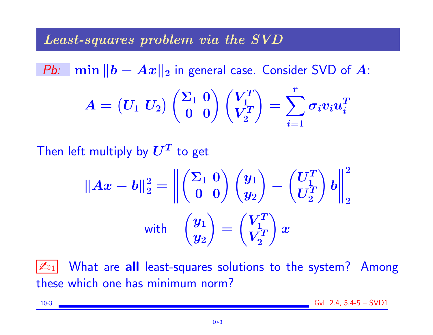#### Least-squares problem via the SVD

*Pb:* min  $||b - Ax||_2$  in general case. Consider SVD of A:  $\boldsymbol{A} = \begin{pmatrix} \boldsymbol{U}_1 \ \boldsymbol{U}_2 \end{pmatrix}$  $\begin{pmatrix} \Sigma_1 & 0 \ 0 & 0 \end{pmatrix} \begin{pmatrix} V_1^T \ V_2^T \end{pmatrix}$ 1  $V^T_2$ 2  $\setminus$  $=$   $\sum$ r  $\dot{i}=1$  $\boldsymbol{\sigma}_i\boldsymbol{v}_i\boldsymbol{u}_i^T$ i

Then left multiply by  $\boldsymbol{U^T}$  to get

$$
||Ax - b||_2^2 = \left\| \begin{pmatrix} \Sigma_1 & 0 \\ 0 & 0 \end{pmatrix} \begin{pmatrix} y_1 \\ y_2 \end{pmatrix} - \begin{pmatrix} U_1^T \\ U_2^T \end{pmatrix} b \right\|_2^2
$$
  
with 
$$
\begin{pmatrix} y_1 \\ y_2 \end{pmatrix} = \begin{pmatrix} V_1^T \\ V_2^T \end{pmatrix} x
$$

 $\mathbb{Z}_{11}$  What are all least-squares solutions to the system? Among these which one has minimum norm?

$$
10-3
$$
 
$$
GvL 2.4, 5.4-5 - SVD1
$$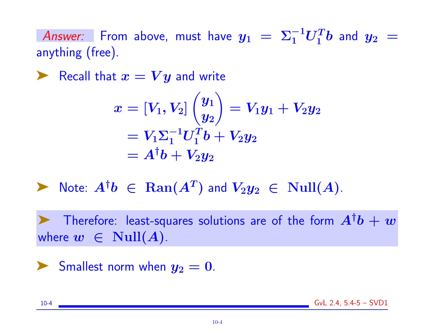Answer: From above, must have  $y_1~=~\Sigma_1^{-1}U_1^Tb$  and  $y_2~=~$ anything (free).

Recall that  $x = Vy$  and write

$$
\begin{aligned} x &= [V_1,V_2]\begin{pmatrix} y_1 \\ y_2 \end{pmatrix} = V_1y_1 + V_2y_2 \\ &= V_1\Sigma_1^{-1}U_1^Tb + V_2y_2 \\ &= A^\dagger b + V_2y_2 \end{aligned}
$$

▶ Note:  $A^{\dagger}b$  ∈  $\text{Ran}(A^T)$  and  $V_2y_2$  ∈  $\text{Null}(A)$ .

Therefore: least-squares solutions are of the form  $A^{\dagger}b+w$ where  $w \in Null(A)$ .

Smallest norm when  $y_2 = 0$ .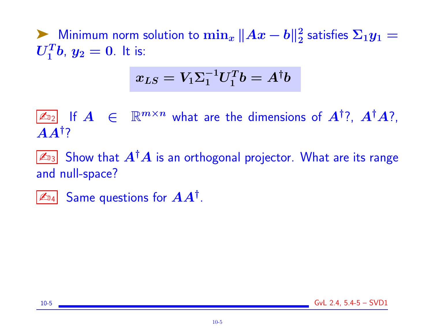A Minimum norm solution to  $\min_x \|Ax - b\|_2^2$  $\frac{2}{2}$  satisfies  $\Sigma_1 y_1 =$  $\boldsymbol{U_1^Tb},\ y_2=0.$  It is:

$$
x_{LS}=V_1\Sigma_1^{-1}U_1^Tb=A^{\dagger}b
$$

 $\boxed{\mathbb{Z}_{2}}$  If  $A \in \mathbb{R}^{m \times n}$  what are the dimensions of  $A^{\dagger}$ ?,  $A^{\dagger}A$ ?,  $\boldsymbol{A}\boldsymbol{A}^{\dagger}$ ?

 $\mathbb{Z}_{3}$  Show that  $A^{\dagger}A$  is an orthogonal projector. What are its range and null-space?

 $\mathbb{Z}_{\mathbb{Z}_4}$  Same questions for  $AA^{\dagger}$ .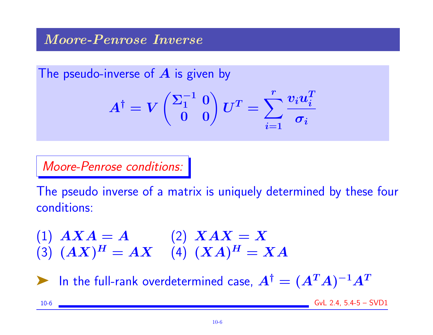### Moore-Penrose Inverse

The pseudo-inverse of  $A$  is given by

$$
A^{\dagger} = V \begin{pmatrix} \Sigma_1^{-1} & 0 \\ 0 & 0 \end{pmatrix} U^T = \sum_{i=1}^r \frac{v_i u_i^T}{\sigma_i}
$$

Moore-Penrose conditions:

The pseudo inverse of a matrix is uniquely determined by these four conditions:

(1)  $AXA = A$  (2)  $XAX = X$ (3)  $(AX)^{H} = AX$  (4)  $(XA)^{H} = XA$ 

 $\blacktriangleright$  In the full-rank overdetermined case,  $A^\dagger = (A^T A)^{-1} A^T$ 

10-6 GvL 2.4, 5.4-5 – SVD1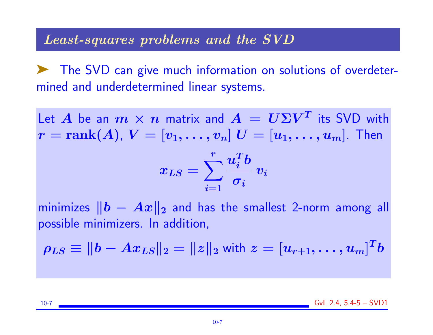### Least-squares problems and the SVD

➤ The SVD can give much information on solutions of overdetermined and underdetermined linear systems.

Let  $A$  be an  $m\times n$  matrix and  $A\,=\, U\Sigma V^T$  its SVD with  $r = \text{rank}(A)$ ,  $V = [v_1, \ldots, v_n]$   $U = [u_1, \ldots, u_m]$ . Then

$$
x_{LS} = \sum_{i=1}^r \frac{u_i^Tb}{\sigma_i} \ v_i
$$

minimizes  $||b - Ax||_2$  and has the smallest 2-norm among all possible minimizers. In addition,

$$
\rho_{LS} \equiv \|b - Ax_{LS}\|_2 = \|z\|_2 \text{ with } z = [u_{r+1}, \ldots, u_m]^T b
$$

10-7 GvL 2.4, 5.4-5 – SVD1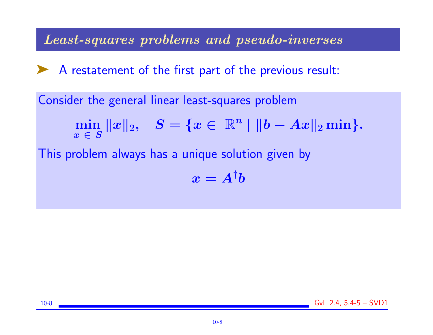Least-squares problems and pseudo-inverses

▶ A restatement of the first part of the previous result:

Consider the general linear least-squares problem

$$
\min_{x \in S} \|x\|_2, \quad S = \{x \in \ \mathbb{R}^n \ | \ \|b - Ax\|_2 \min \}.
$$

This problem always has a unique solution given by

$$
x = A^{\dagger}b
$$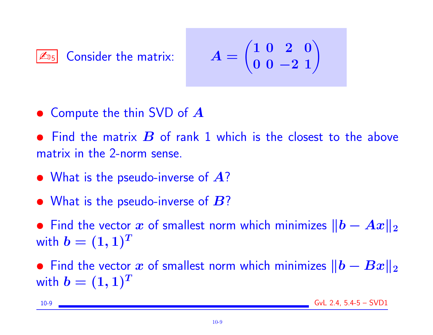$\boxed{\mathbb{Z}_{05}}$  Consider the matrix:

$$
A=\begin{pmatrix}1&0&2&0\\0&0&-2&1\end{pmatrix}
$$

• Compute the thin SVD of  $\boldsymbol{A}$ 

• Find the matrix  $\bm{B}$  of rank 1 which is the closest to the above matrix in the 2-norm sense.

- What is the pseudo-inverse of  $\mathcal{A}$ ?
- What is the pseudo-inverse of  $\bm{B}$ ?

• Find the vector x of smallest norm which minimizes  $||b - Ax||_2$ with  $b = (1, 1)^T$ 

• Find the vector x of smallest norm which minimizes  $||b - Bx||_2$ with  $b = (1, 1)^T$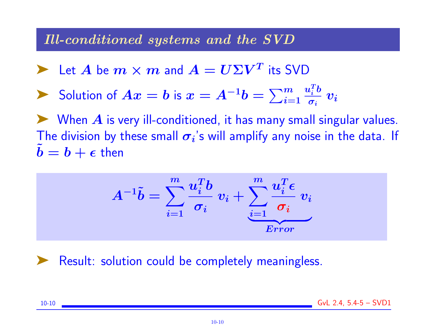#### Ill-conditioned systems and the SVD

Let A be  $m \times m$  and  $A = U \Sigma V^T$  its SVD

$$
\sum_{i=1}^{\infty} \frac{1}{\sigma_i} \text{ Solution of } Ax = b \text{ is } x = A^{-1}b = \sum_{i=1}^{m} \frac{u_i^T b}{\sigma_i} v_i
$$

 $\blacktriangleright$  When  $A$  is very ill-conditioned, it has many small singular values. The division by these small  $\sigma_i$ 's will amplify any noise in the data. If  $b = b + \epsilon$  then

$$
A^{-1}\tilde{b}=\sum_{i=1}^{m}\frac{u_i^Tb}{\sigma_i}\;v_i+\sum_{i=1}^{m}\frac{u_i^T\epsilon}{\sigma_i}\;v_i\\_{Error}
$$

Result: solution could be completely meaningless.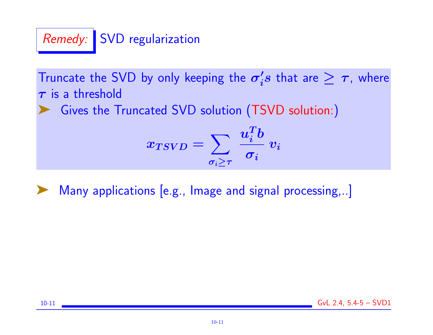# Remedy: SVD regularization

Truncate the SVD by only keeping the  $\sigma_i'$  $\c{i}s$  that are  $\geq \tau$ , where  $\tau$  is a threshold

Gives the Truncated SVD solution (TSVD solution:)

$$
x_{TSVD} = \sum_{\sigma_i \geq \tau} \, \frac{u_i^T b}{\sigma_i} \ v_i
$$

Many applications [e.g., Image and signal processing,..]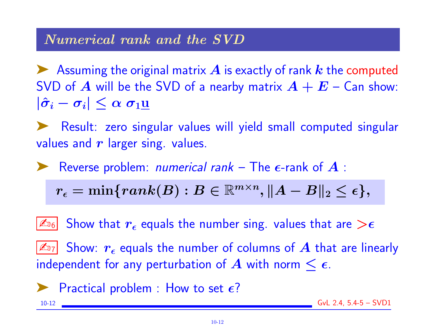## Numerical rank and the SVD

Assuming the original matrix  $\bm{A}$  is exactly of rank  $\bm{k}$  the computed SVD of  $A$  will be the SVD of a nearby matrix  $A + E -$  Can show:  $|\hat{\sigma}_i - \sigma_i| \leq \alpha \sigma_1$ u

➤ Result: zero singular values will yield small computed singular values and  $r$  larger sing. values.

Reverse problem: *numerical rank* – The  $\epsilon$ -rank of  $\boldsymbol{A}$  :

$$
r_{\epsilon}=\min\{rank(B): B\in\mathbb{R}^{m\times n}, \|A-B\|_2\leq \epsilon\},
$$

 $\left\lbrack\mathbb{Z}_{^{16}}\right\rbrack$  Show that  $r_\epsilon$  equals the number sing. values that are  $>\epsilon$ 

 $|\mathcal{L}_{17}|$  Show:  $r_\epsilon$  equals the number of columns of  $A$  that are linearly independent for any perturbation of A with norm  $\leq \epsilon$ .

$$
\blacktriangleright
$$
 Practical problem : How to set  $\epsilon$ ?

10-12 GvL 2.4, 5.4-5 – SVD1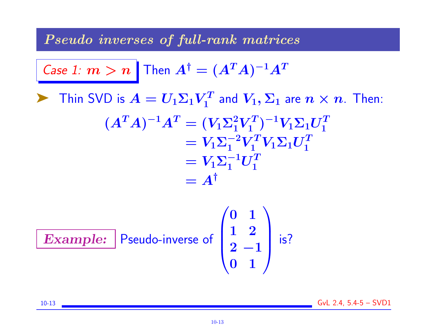Pseudo inverses of full-rank matrices

Case 1: 
$$
m > n
$$
 Then  $A^{\dagger} = (A^T A)^{-1} A^T$ 

 $\blacktriangleright$  Thin SVD is  $A = U_1 \Sigma_1 V_1^T$  $V^T_1$  and  $V_1, \Sigma_1$  are  $n \times n$ . Then:  $(A^TA)^{-1}A^T = (V_1\Sigma_1^2V_1^T)$  $\big( \frac{T}{1} \big)^{-1} V_1 \Sigma_1 U_1^T$ 1  $=V_1\Sigma_1^{-2}V_1^TV_1\Sigma_1U_1^T$ 1  $=V_1\Sigma_1^{-1}U_1^T$ 1  $= A^{\dagger}$ 

**Example:** Pseudo-inverse of 
$$
\begin{pmatrix} 0 & 1 \\ 1 & 2 \\ 2 & -1 \\ 0 & 1 \end{pmatrix}
$$
 is?

10-13 GvL 2.4, 5.4-5 – SVD1